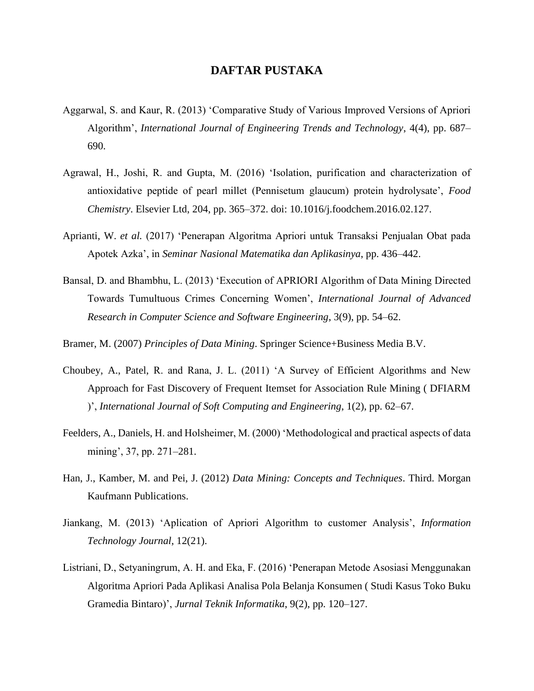## **DAFTAR PUSTAKA**

- Aggarwal, S. and Kaur, R. (2013) 'Comparative Study of Various Improved Versions of Apriori Algorithm', *International Journal of Engineering Trends and Technology*, 4(4), pp. 687– 690.
- Agrawal, H., Joshi, R. and Gupta, M. (2016) 'Isolation, purification and characterization of antioxidative peptide of pearl millet (Pennisetum glaucum) protein hydrolysate', *Food Chemistry*. Elsevier Ltd, 204, pp. 365–372. doi: 10.1016/j.foodchem.2016.02.127.
- Aprianti, W. *et al.* (2017) 'Penerapan Algoritma Apriori untuk Transaksi Penjualan Obat pada Apotek Azka', in *Seminar Nasional Matematika dan Aplikasinya*, pp. 436–442.
- Bansal, D. and Bhambhu, L. (2013) 'Execution of APRIORI Algorithm of Data Mining Directed Towards Tumultuous Crimes Concerning Women', *International Journal of Advanced Research in Computer Science and Software Engineering*, 3(9), pp. 54–62.
- Bramer, M. (2007) *Principles of Data Mining*. Springer Science+Business Media B.V.
- Choubey, A., Patel, R. and Rana, J. L. (2011) 'A Survey of Efficient Algorithms and New Approach for Fast Discovery of Frequent Itemset for Association Rule Mining ( DFIARM )', *International Journal of Soft Computing and Engineering*, 1(2), pp. 62–67.
- Feelders, A., Daniels, H. and Holsheimer, M. (2000) 'Methodological and practical aspects of data mining', 37, pp. 271–281.
- Han, J., Kamber, M. and Pei, J. (2012) *Data Mining: Concepts and Techniques*. Third. Morgan Kaufmann Publications.
- Jiankang, M. (2013) 'Aplication of Apriori Algorithm to customer Analysis', *Information Technology Journal*, 12(21).
- Listriani, D., Setyaningrum, A. H. and Eka, F. (2016) 'Penerapan Metode Asosiasi Menggunakan Algoritma Apriori Pada Aplikasi Analisa Pola Belanja Konsumen ( Studi Kasus Toko Buku Gramedia Bintaro)', *Jurnal Teknik Informatika*, 9(2), pp. 120–127.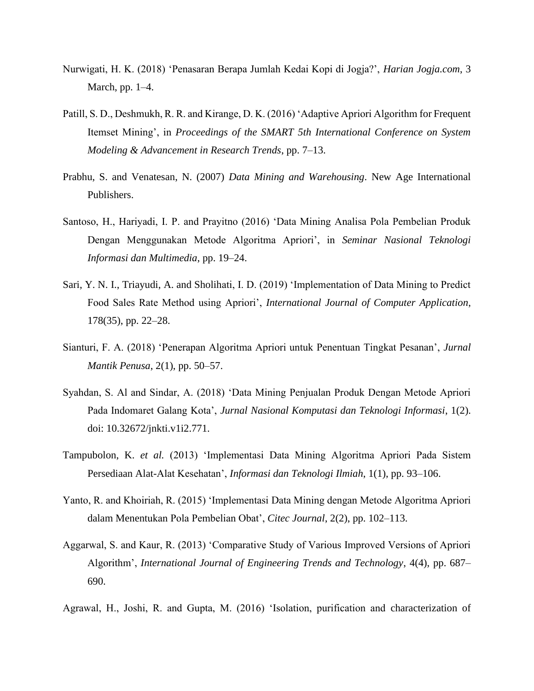- Nurwigati, H. K. (2018) 'Penasaran Berapa Jumlah Kedai Kopi di Jogja?', *Harian Jogja.com*, 3 March, pp. 1–4.
- Patill, S. D., Deshmukh, R. R. and Kirange, D. K. (2016) 'Adaptive Apriori Algorithm for Frequent Itemset Mining', in *Proceedings of the SMART 5th International Conference on System Modeling & Advancement in Research Trends*, pp. 7–13.
- Prabhu, S. and Venatesan, N. (2007) *Data Mining and Warehousing*. New Age International Publishers.
- Santoso, H., Hariyadi, I. P. and Prayitno (2016) 'Data Mining Analisa Pola Pembelian Produk Dengan Menggunakan Metode Algoritma Apriori', in *Seminar Nasional Teknologi Informasi dan Multimedia*, pp. 19–24.
- Sari, Y. N. I., Triayudi, A. and Sholihati, I. D. (2019) 'Implementation of Data Mining to Predict Food Sales Rate Method using Apriori', *International Journal of Computer Application*, 178(35), pp. 22–28.
- Sianturi, F. A. (2018) 'Penerapan Algoritma Apriori untuk Penentuan Tingkat Pesanan', *Jurnal Mantik Penusa*, 2(1), pp. 50–57.
- Syahdan, S. Al and Sindar, A. (2018) 'Data Mining Penjualan Produk Dengan Metode Apriori Pada Indomaret Galang Kota', *Jurnal Nasional Komputasi dan Teknologi Informasi*, 1(2). doi: 10.32672/jnkti.v1i2.771.
- Tampubolon, K. *et al.* (2013) 'Implementasi Data Mining Algoritma Apriori Pada Sistem Persediaan Alat-Alat Kesehatan', *Informasi dan Teknologi Ilmiah*, 1(1), pp. 93–106.
- Yanto, R. and Khoiriah, R. (2015) 'Implementasi Data Mining dengan Metode Algoritma Apriori dalam Menentukan Pola Pembelian Obat', *Citec Journal*, 2(2), pp. 102–113.
- Aggarwal, S. and Kaur, R. (2013) 'Comparative Study of Various Improved Versions of Apriori Algorithm', *International Journal of Engineering Trends and Technology*, 4(4), pp. 687– 690.
- Agrawal, H., Joshi, R. and Gupta, M. (2016) 'Isolation, purification and characterization of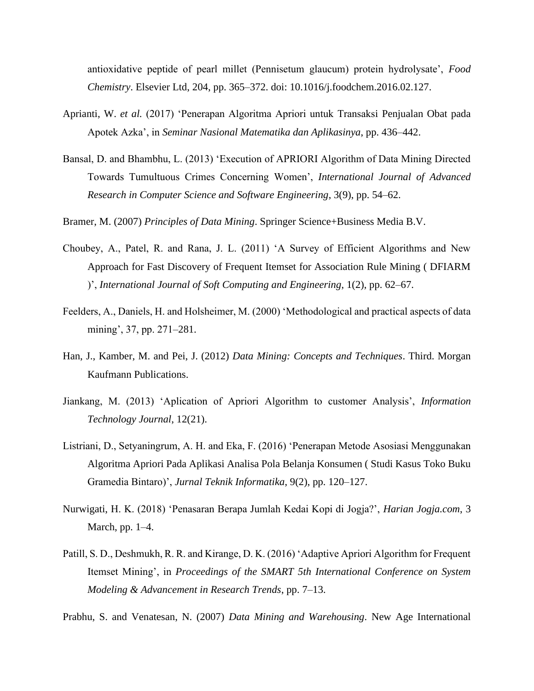antioxidative peptide of pearl millet (Pennisetum glaucum) protein hydrolysate', *Food Chemistry*. Elsevier Ltd, 204, pp. 365–372. doi: 10.1016/j.foodchem.2016.02.127.

- Aprianti, W. *et al.* (2017) 'Penerapan Algoritma Apriori untuk Transaksi Penjualan Obat pada Apotek Azka', in *Seminar Nasional Matematika dan Aplikasinya*, pp. 436–442.
- Bansal, D. and Bhambhu, L. (2013) 'Execution of APRIORI Algorithm of Data Mining Directed Towards Tumultuous Crimes Concerning Women', *International Journal of Advanced Research in Computer Science and Software Engineering*, 3(9), pp. 54–62.
- Bramer, M. (2007) *Principles of Data Mining*. Springer Science+Business Media B.V.
- Choubey, A., Patel, R. and Rana, J. L. (2011) 'A Survey of Efficient Algorithms and New Approach for Fast Discovery of Frequent Itemset for Association Rule Mining ( DFIARM )', *International Journal of Soft Computing and Engineering*, 1(2), pp. 62–67.
- Feelders, A., Daniels, H. and Holsheimer, M. (2000) 'Methodological and practical aspects of data mining', 37, pp. 271–281.
- Han, J., Kamber, M. and Pei, J. (2012) *Data Mining: Concepts and Techniques*. Third. Morgan Kaufmann Publications.
- Jiankang, M. (2013) 'Aplication of Apriori Algorithm to customer Analysis', *Information Technology Journal*, 12(21).
- Listriani, D., Setyaningrum, A. H. and Eka, F. (2016) 'Penerapan Metode Asosiasi Menggunakan Algoritma Apriori Pada Aplikasi Analisa Pola Belanja Konsumen ( Studi Kasus Toko Buku Gramedia Bintaro)', *Jurnal Teknik Informatika*, 9(2), pp. 120–127.
- Nurwigati, H. K. (2018) 'Penasaran Berapa Jumlah Kedai Kopi di Jogja?', *Harian Jogja.com*, 3 March, pp. 1–4.
- Patill, S. D., Deshmukh, R. R. and Kirange, D. K. (2016) 'Adaptive Apriori Algorithm for Frequent Itemset Mining', in *Proceedings of the SMART 5th International Conference on System Modeling & Advancement in Research Trends*, pp. 7–13.
- Prabhu, S. and Venatesan, N. (2007) *Data Mining and Warehousing*. New Age International